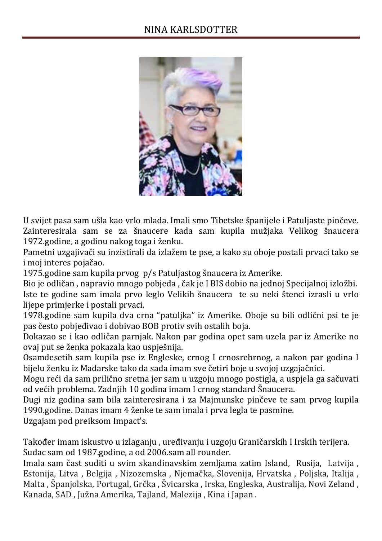

U svijet pasa sam ušla kao vrlo mlada. Imali smo Tibetske španijele i Patuljaste pinčeve. Zainteresirala sam se za šnaucere kada sam kupila mužjaka Velikog šnaucera 1972.godine, a godinu nakog toga i ženku.

Pametni uzgajivači su inzistirali da izlažem te pse, a kako su oboje postali prvaci tako se i moj interes pojačao.

1975.godine sam kupila prvog p/s Patuljastog šnaucera iz Amerike.

Bio je odličan , napravio mnogo pobjeda , čak je I BIS dobio na jednoj Specijalnoj izložbi. Iste te godine sam imala prvo leglo Velikih šnaucera te su neki štenci izrasli u vrlo lijepe primjerke i postali prvaci.

1978.godine sam kupila dva crna "patuljka" iz Amerike. Oboje su bili odlični psi te je pas često pobjeđivao i dobivao BOB protiv svih ostalih boja.

Dokazao se i kao odličan parnjak. Nakon par godina opet sam uzela par iz Amerike no ovaj put se ženka pokazala kao uspješnija.

Osamdesetih sam kupila pse iz Engleske, crnog I crnosrebrnog, a nakon par godina I bijelu ženku iz Mađarske tako da sada imam sve četiri boje u svojoj uzgajačnici.

Mogu reći da sam prilično sretna jer sam u uzgoju mnogo postigla, a uspjela ga sačuvati od većih problema. Zadnjih 10 godina imam I crnog standard Šnaucera.

Dugi niz godina sam bila zainteresirana i za Majmunske pinčeve te sam prvog kupila 1990.godine. Danas imam 4 ženke te sam imala i prva legla te pasmine.

Uzgajam pod preiksom Impact's.

Također imam iskustvo u izlaganju , uređivanju i uzgoju Graničarskih I Irskih terijera. Sudac sam od 1987.godine, a od 2006.sam all rounder.

Imala sam čast suditi u svim skandinavskim zemljama zatim Island, Rusija, Latvija , Estonija, Litva , Belgija , Nizozemska , Njemačka, Slovenija, Hrvatska , Poljska, Italija , Malta , Španjolska, Portugal, Grčka , Švicarska , Irska, Engleska, Australija, Novi Zeland , Kanada, SAD , Južna Amerika, Tajland, Malezija , Kina i Japan .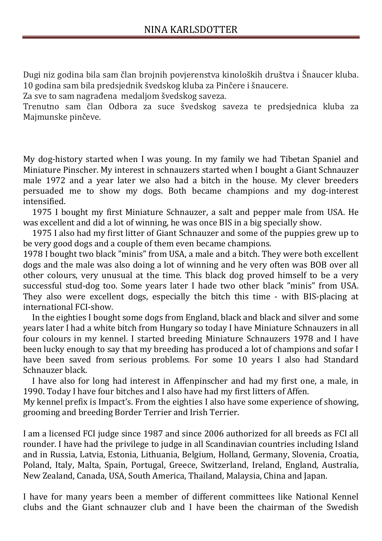Dugi niz godina bila sam član brojnih povjerenstva kinoloških društva i Šnaucer kluba. 10 godina sam bila predsjednik švedskog kluba za Pinčere i šnaucere.

Za sve to sam nagrađena medaljom švedskog saveza.

Trenutno sam član Odbora za suce švedskog saveza te predsjednica kluba za Majmunske pinčeve.

My dog-history started when I was young. In my family we had Tibetan Spaniel and Miniature Pinscher. My interest in schnauzers started when I bought a Giant Schnauzer male 1972 and a year later we also had a bitch in the house. My clever breeders persuaded me to show my dogs. Both became champions and my dog-interest intensified.

1975 I bought my first Miniature Schnauzer, a salt and pepper male from USA. He was excellent and did a lot of winning, he was once BIS in a big specially show.

1975 I also had my first litter of Giant Schnauzer and some of the puppies grew up to be very good dogs and a couple of them even became champions.

1978 I bought two black "minis" from USA, a male and a bitch. They were both excellent dogs and the male was also doing a lot of winning and he very often was BOB over all other colours, very unusual at the time. This black dog proved himself to be a very successful stud-dog too. Some years later I hade two other black "minis" from USA. They also were excellent dogs, especially the bitch this time - with BIS-placing at international FCI-show.

In the eighties I bought some dogs from England, black and black and silver and some years later I had a white bitch from Hungary so today I have Miniature Schnauzers in all four colours in my kennel. I started breeding Miniature Schnauzers 1978 and I have been lucky enough to say that my breeding has produced a lot of champions and sofar I have been saved from serious problems. For some 10 years I also had Standard Schnauzer black.

I have also for long had interest in Affenpinscher and had my first one, a male, in 1990. Today I have four bitches and I also have had my first litters of Affen.

My kennel prefix is Impact's. From the eighties I also have some experience of showing, grooming and breeding Border Terrier and Irish Terrier.

I am a licensed FCI judge since 1987 and since 2006 authorized for all breeds as FCI all rounder. I have had the privilege to judge in all Scandinavian countries including Island and in Russia, Latvia, Estonia, Lithuania, Belgium, Holland, Germany, Slovenia, Croatia, Poland, Italy, Malta, Spain, Portugal, Greece, Switzerland, Ireland, England, Australia, New Zealand, Canada, USA, South America, Thailand, Malaysia, China and Japan.

I have for many years been a member of different committees like National Kennel clubs and the Giant schnauzer club and I have been the chairman of the Swedish